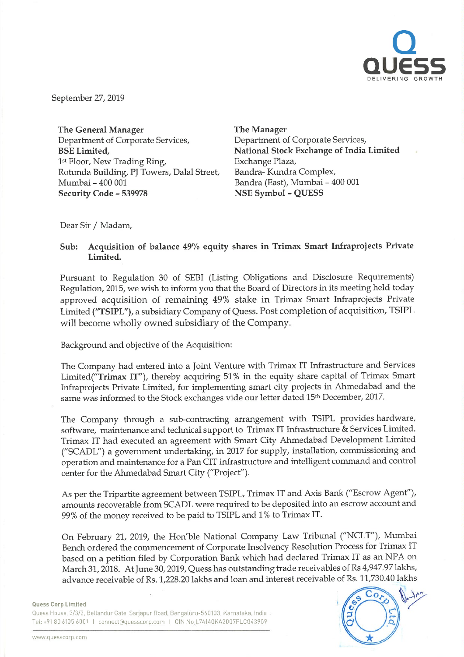

September 27, <sup>2019</sup>

The General Manager Department of Corporate Services, BSE Limited, 1st Floor, New Trading Ring, Rotunda Building, PJ Towers, Dalal Street, Mumbai - 400 001 Security Code - 539978

The Manager Department of Corporate Services, National Stock Exchange of India Limited Exchange Plaza, Bandra- Kundra Complex, Bandra (East), Mumbai- 400 001 NSE Symbol - QUESS

Dear Sir / Madam,

Sub: Acquisition of balance 49% equity shares in Trimax Smart Infraprojects Private Limited.

Pursuant to Regulation <sup>30</sup> of SEBI (Listing Obligations and Disclosure Requirements) Regulation, 2015, we wish to inform you that the Board of Directors in its meeting held today approved acquisition of remaining 49% stake in Trimax Smart Infraprojects Private Limited ("TSIPL"), <sup>a</sup> subsidiary Company of Quess. Post completion of acquisition, TSIPL will become wholly owned subsidiary of the Company.

Background and objective of the Acquisition:

The Company had entered into <sup>a</sup> Joint Venture with Trimax IT Infrastructure and Services Limited("Trimax IT"), thereby acquiring <sup>51</sup> % in the equity share capital of Trimax Smart Infraprojects Private Limited, for implementing smart city projects in Ahmedabad and the same was informed to the Stock exchanges vide our letter dated 15th December, 2017.

The Company through <sup>a</sup> sub-contracting arrangement with TSIPL provides hardware, software, maintenance and technical support to Trimax IT Infrastructure & Services Limited. Trimax IT had executed an agreement with Smart City Ahmedabad Development Limited ("SCADL") <sup>a</sup> government undertaking, in <sup>2017</sup> for supply, installation, commissioning and operation and maintenance for <sup>a</sup> Pan CIT infrastructure and intelligent command and control center for the Ahmedabad Smart City ("Project").

As per the Tripartite agreement between TSIPL, Trimax IT and Axis Bank ("Escrow Agent"), amounts recoverable from SCADL were required to be deposited into an escrow account and 99% of the money received to be paid to TSIPL and <sup>1</sup> % to Trimax IT.

On February 21, 2019, the Hon'ble National Company Law Tribunal ("NCLT"), Mumbai Bench ordered the commencement of Corporate Insolvency Resolution Process for Trimax IT based on a petition filed by Corporation Bank which had declared Trimax IT as an NPA on March 31, 2018. At June 30, 2019, Quess has outstanding trade receivables of Rs 4,947.97 lakhs, advance receivable of Rs. 1,228.20 lakhs and loan and interest receivable of Rs. 11,730.40 lakhs

## Ouess Corp Limited

Quess House, 3/3/2, Bellandur Gate, Sarjapur Road, Bengaluru-560103, Karnataka, India Tel: +91 80 6105 6001 I connect@quesscorp.com I CIN No.L74140KA2007PLC043909

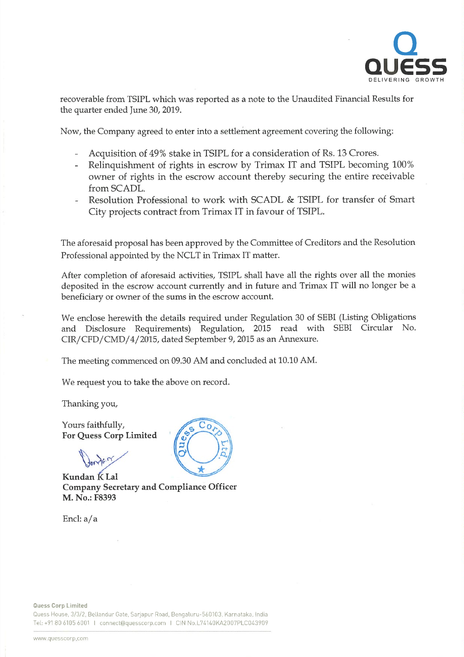

recoverable from TSIPL which was reported as <sup>a</sup> note to the Unaudited Financial Results for the quarter ended June 30, 2019.

Now, the Company agreed to enter into <sup>a</sup> settlement agreement covering the following:

- Acquisition of 49% stake in TSIPL for <sup>a</sup> consideration of Rs. 13 Crores.
- Relinquishment of rights in escrow by Trimax IT and TSIPL becoming 100% owner of rights in the escrow account thereby securing the entire receivable from SCADL.
- Resolution Professional to work with SCADL & TSIPL for transfer of Smart City projects contract from Trimax IT in favour of TSIPL.

The aforesaid proposal has been approved by the Committee of Creditors and the Resolution Professional appointed by the NCLT in Trimax IT matter.

After completion of aforesaid activities, TSIPL shall have all the rights over all the monies deposited in the escrow account currently and in future and Trimax IT will no longer be <sup>a</sup> beneficiary or owner of the sums in the escrow account.

We enclose herewith the details required under Regulation <sup>30</sup> of SEBI (Listing Obligations and Disclosure Requirements) Regulation, <sup>2015</sup> read with SEBI Circular No. CIR/CFD/CMD/4/2015, dated September 9, 2015 as an Annexure.

The meeting commenced on 09.30 AM and concluded at 10.10 AM.

We request you to take the above on record.

Thanking you,

Yours faithfully, For Quess Corp Limited

?r

Kundan K Lal Company Secretary and Compliance Officer M. No.: F8393

Encl: a/a



Quess House, 3/3/2, Bellandur Gate, Sarjapur Road, Bengaluru-560103, Karnataka. India Tel: +91 80 6105 6001 I connect@quesscorp.com I CIN No.L74140KA2007PLC043909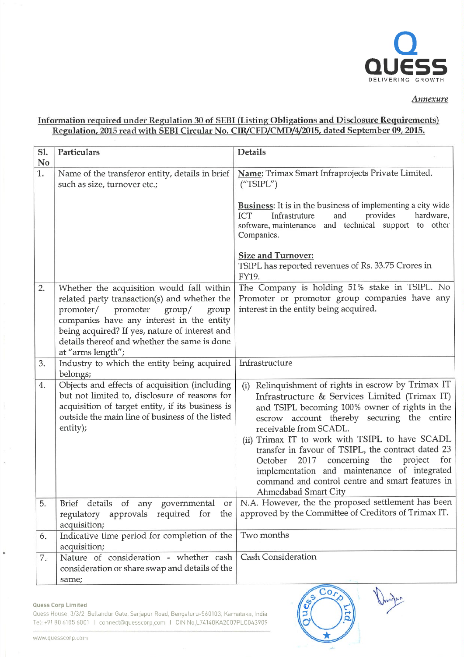

Annexure

## Information required under Regulation <sup>30</sup> of SEBI (Listing Obligations and Disclosure Requirements) Regulation, 2015 read with SEBI Circular No. CIR/CFD/CMD/4/2015, dated September 09, 2015.

| Sl.<br>N <sub>0</sub> | Particulars                                                                                                                                                                                                       | <b>Details</b>                                                                                                                                                                                                                                                                                                                                                                                                                                                                                                                 |
|-----------------------|-------------------------------------------------------------------------------------------------------------------------------------------------------------------------------------------------------------------|--------------------------------------------------------------------------------------------------------------------------------------------------------------------------------------------------------------------------------------------------------------------------------------------------------------------------------------------------------------------------------------------------------------------------------------------------------------------------------------------------------------------------------|
| 1.                    | Name of the transferor entity, details in brief<br>such as size, turnover etc.;                                                                                                                                   | Name: Trimax Smart Infraprojects Private Limited.<br>(''TSIPL'')                                                                                                                                                                                                                                                                                                                                                                                                                                                               |
|                       |                                                                                                                                                                                                                   | <b>Business:</b> It is in the business of implementing a city wide<br>and<br>provides<br>hardware,<br><b>ICT</b><br>Infrastruture<br>software, maintenance and technical support to other<br>Companies.                                                                                                                                                                                                                                                                                                                        |
|                       |                                                                                                                                                                                                                   | <b>Size and Turnover:</b><br>TSIPL has reported revenues of Rs. 33.75 Crores in<br>FY19.                                                                                                                                                                                                                                                                                                                                                                                                                                       |
| 2.                    | Whether the acquisition would fall within<br>related party transaction(s) and whether the                                                                                                                         | The Company is holding 51% stake in TSIPL. No<br>Promoter or promotor group companies have any                                                                                                                                                                                                                                                                                                                                                                                                                                 |
|                       | promoter/ promoter<br>$\gamma$<br>group<br>companies have any interest in the entity<br>being acquired? If yes, nature of interest and<br>details thereof and whether the same is done<br>at "arms length";       | interest in the entity being acquired.                                                                                                                                                                                                                                                                                                                                                                                                                                                                                         |
| 3.                    | Industry to which the entity being acquired<br>belongs;                                                                                                                                                           | Infrastructure                                                                                                                                                                                                                                                                                                                                                                                                                                                                                                                 |
| 4.                    | Objects and effects of acquisition (including<br>but not limited to, disclosure of reasons for<br>acquisition of target entity, if its business is<br>outside the main line of business of the listed<br>entity); | Relinquishment of rights in escrow by Trimax IT<br>(i)<br>Infrastructure & Services Limited (Trimax IT)<br>and TSIPL becoming 100% owner of rights in the<br>escrow account thereby securing the entire<br>receivable from SCADL.<br>(ii) Trimax IT to work with TSIPL to have SCADL<br>transfer in favour of TSIPL, the contract dated 23<br>concerning the project for<br>2017<br>October<br>implementation and maintenance of integrated<br>command and control centre and smart features in<br><b>Ahmedabad Smart City</b> |
| 5.                    | Brief details of any governmental<br>or<br>regulatory approvals required for<br>the<br>acquisition;                                                                                                               | N.A. However, the the proposed settlement has been<br>approved by the Committee of Creditors of Trimax IT.                                                                                                                                                                                                                                                                                                                                                                                                                     |
| 6.                    | Indicative time period for completion of the<br>acquisition;                                                                                                                                                      | Two months                                                                                                                                                                                                                                                                                                                                                                                                                                                                                                                     |
| 7.                    | Nature of consideration - whether cash<br>consideration or share swap and details of the<br>same;                                                                                                                 | <b>Cash Consideration</b>                                                                                                                                                                                                                                                                                                                                                                                                                                                                                                      |

 $Co<sub>l</sub>$ 

ue

## Quess Corp Limited

b

Quess House, 3/3/2, Bellandur Gate, Sarjapur Road, Bengaluru-560103. Karnataka, India Tel: +9180 6105 6001 I connect@quesscorp.com I CIN No.L74140KA2007PLC043909